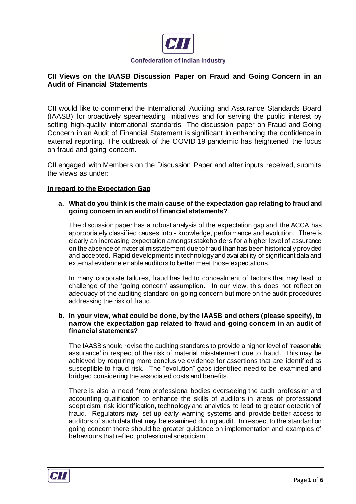

# **CII Views on the IAASB Discussion Paper on Fraud and Going Concern in an Audit of Financial Statements**

**\_\_\_\_\_\_\_\_\_\_\_\_\_\_\_\_\_\_\_\_\_\_\_\_\_\_\_\_\_\_\_\_\_\_\_\_\_\_\_\_\_\_\_\_\_\_\_\_\_\_\_\_\_\_\_\_\_\_\_\_\_\_\_\_\_\_\_\_\_\_\_\_\_\_**

CII would like to commend the International Auditing and Assurance Standards Board (IAASB) for proactively spearheading initiatives and for serving the public interest by setting high-quality international standards. The discussion paper on Fraud and Going Concern in an Audit of Financial Statement is significant in enhancing the confidence in external reporting. The outbreak of the COVID 19 pandemic has heightened the focus on fraud and going concern.

CII engaged with Members on the Discussion Paper and after inputs received, submits the views as under:

# **In regard to the Expectation Gap**

#### **a. What do you think is the main cause of the expectation gap relating to fraud and going concern in an audit of financial statements?**

The discussion paper has a robust analysis of the expectation gap and the ACCA has appropriately classified causes into - knowledge, performance and evolution. There is clearly an increasing expectation amongst stakeholders for a higher level of assurance on the absence of material misstatement due to fraud than has been historically provided and accepted. Rapid developments in technology and availability of significant data and external evidence enable auditors to better meet those expectations.

In many corporate failures, fraud has led to concealment of factors that may lead to challenge of the 'going concern' assumption. In our view, this does not reflect on adequacy of the auditing standard on going concern but more on the audit procedures addressing the risk of fraud.

### **b. In your view, what could be done, by the IAASB and others (please specify), to narrow the expectation gap related to fraud and going concern in an audit of financial statements?**

The IAASB should revise the auditing standards to provide a higher level of 'reasonable assurance' in respect of the risk of material misstatement due to fraud. This may be achieved by requiring more conclusive evidence for assertions that are identified as susceptible to fraud risk. The "evolution" gaps identified need to be examined and bridged considering the associated costs and benefits.

There is also a need from professional bodies overseeing the audit profession and accounting qualification to enhance the skills of auditors in areas of professional scepticism, risk identification, technology and analytics to lead to greater detection of fraud. Regulators may set up early warning systems and provide better access to auditors of such data that may be examined during audit. In respect to the standard on going concern there should be greater guidance on implementation and examples of behaviours that reflect professional scepticism.

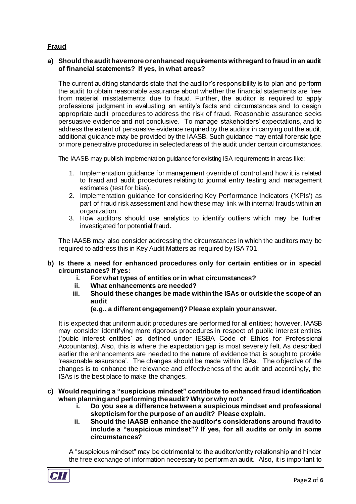# **Fraud**

## **a) Should the audit have more or enhanced requirements with regard to fraud in an audit of financial statements? If yes, in what areas?**

The current auditing standards state that the auditor's responsibility is to plan and perform the audit to obtain reasonable assurance about whether the financial statements are free from material misstatements due to fraud. Further, the auditor is required to apply professional judgment in evaluating an entity's facts and circumstances and to design appropriate audit procedures to address the risk of fraud. Reasonable assurance seeks persuasive evidence and not conclusive. To manage stakeholders' expectations, and to address the extent of persuasive evidence required by the auditor in carrying out the audit, additional guidance may be provided by the IAASB. Such guidance may entail forensic type or more penetrative procedures in selected areas of the audit under certain circumstances.

The IAASB may publish implementation guidance for existing ISA requirements in areas like:

- 1. Implementation guidance for management override of control and how it is related to fraud and audit procedures relating to journal entry testing and management estimates (test for bias).
- 2. Implementation guidance for considering Key Performance Indicators ('KPIs') as part of fraud risk assessment and how these may link with internal frauds within an organization.
- 3. How auditors should use analytics to identify outliers which may be further investigated for potential fraud.

The IAASB may also consider addressing the circumstances in which the auditors may be required to address this in Key Audit Matters as required by ISA 701.

### **b) Is there a need for enhanced procedures only for certain entities or in special circumstances? If yes:**

- **i. For what types of entities or in what circumstances?**
- **ii. What enhancements are needed?**
- **iii. Should these changes be made within the ISAs or outside the scope of an audit**

### **(e.g., a different engagement)? Please explain your answer.**

It is expected that uniform audit procedures are performed for all entities; however, IAASB may consider identifying more rigorous procedures in respect of public interest entities ('pubic interest entities' as defined under IESBA Code of Ethics for Professional Accountants). Also, this is where the expectation gap is most severely felt. As described earlier the enhancements are needed to the nature of evidence that is sought to provide 'reasonable assurance'. The changes should be made within ISAs. The objective of the changes is to enhance the relevance and effectiveness of the audit and accordingly, the ISAs is the best place to make the changes.

- **c) Would requiring a "suspicious mindset" contribute to enhanced fraud identification when planning and performing the audit? Why or why not?**
	- **i. Do you see a difference between a suspicious mindset and professional skepticism for the purpose of an audit? Please explain.**
	- **ii. Should the IAASB enhance the auditor's considerations around fraud to include a "suspicious mindset"? If yes, for all audits or only in some circumstances?**

A "suspicious mindset" may be detrimental to the auditor/entity relationship and hinder the free exchange of information necessary to perform an audit. Also, it is important to

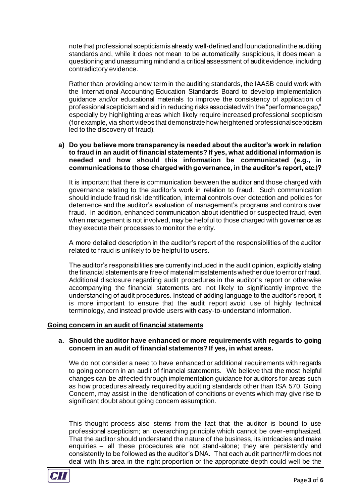note that professional scepticismis already well-defined and foundational in the auditing standards and, while it does not mean to be automatically suspicious, it does mean a questioning and unassuming mind and a critical assessment of audit evidence, including contradictory evidence.

Rather than providing a new term in the auditing standards, the IAASB could work with the International Accounting Education Standards Board to develop implementation guidance and/or educational materials to improve the consistency of application of professional scepticismand aid in reducing risks associated with the "performance gap," especially by highlighting areas which likely require increased professional scepticism (for example, via short videos that demonstrate how heightened professional scepticism led to the discovery of fraud).

### **a) Do you believe more transparency is needed about the auditor's work in relation to fraud in an audit of financial statements? If yes, what additional information is needed and how should this information be communicated (e.g., in communications to those charged with governance, in the auditor's report, etc.)?**

It is important that there is communication between the auditor and those charged with governance relating to the auditor's work in relation to fraud. Such communication should include fraud risk identification, internal controls over detection and policies for deterrence and the auditor's evaluation of management's programs and controls over fraud. In addition, enhanced communication about identified or suspected fraud, even when management is not involved, may be helpful to those charged with governance as they execute their processes to monitor the entity.

A more detailed description in the auditor's report of the responsibilities of the auditor related to fraud is unlikely to be helpful to users.

The auditor's responsibilities are currently included in the audit opinion, explicitly stating the financial statements are free of material misstatements whether due to error or fraud. Additional disclosure regarding audit procedures in the auditor's report or otherwise accompanying the financial statements are not likely to significantly improve the understanding of audit procedures. Instead of adding language to the auditor's report, it is more important to ensure that the audit report avoid use of highly technical terminology, and instead provide users with easy-to-understand information.

### **Going concern in an audit of financial statements**

#### **a. Should the auditor have enhanced or more requirements with regards to going concern in an audit of financial statements? If yes, in what areas.**

We do not consider a need to have enhanced or additional requirements with regards to going concern in an audit of financial statements. We believe that the most helpful changes can be affected through implementation guidance for auditors for areas such as how procedures already required by auditing standards other than ISA 570, Going Concern, may assist in the identification of conditions or events which may give rise to significant doubt about going concern assumption.

This thought process also stems from the fact that the auditor is bound to use professional scepticism; an overarching principle which cannot be over-emphasized. That the auditor should understand the nature of the business, its intricacies and make enquiries – all these procedures are not stand-alone; they are persistently and consistently to be followed as the auditor's DNA. That each audit partner/firm does not deal with this area in the right proportion or the appropriate depth could well be the

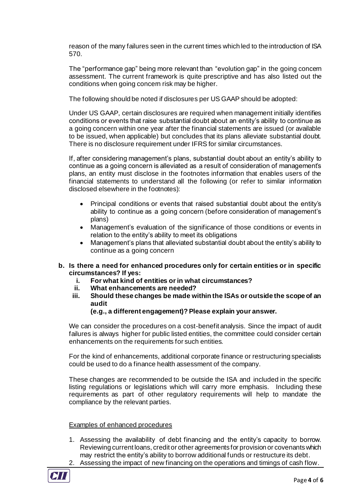reason of the many failures seen in the current times which led to the introduction of ISA 570.

The "performance gap" being more relevant than "evolution gap" in the going concern assessment. The current framework is quite prescriptive and has also listed out the conditions when going concern risk may be higher.

The following should be noted if disclosures per US GAAP should be adopted:

Under US GAAP, certain disclosures are required when management initially identifies conditions or events that raise substantial doubt about an entity's ability to continue as a going concern within one year after the financial statements are issued (or available to be issued, when applicable) but concludes that its plans alleviate substantial doubt. There is no disclosure requirement under IFRS for similar circumstances.

If, after considering management's plans, substantial doubt about an entity's ability to continue as a going concern is alleviated as a result of consideration of management's plans, an entity must disclose in the footnotes information that enables users of the financial statements to understand all the following (or refer to similar information disclosed elsewhere in the footnotes):

- Principal conditions or events that raised substantial doubt about the entity's ability to continue as a going concern (before consideration of management's plans)
- Management's evaluation of the significance of those conditions or events in relation to the entity's ability to meet its obligations
- Management's plans that alleviated substantial doubt about the entity's ability to continue as a going concern
- **b. Is there a need for enhanced procedures only for certain entities or in specific circumstances? If yes:**
	- **i. For what kind of entities or in what circumstances?**
	- **ii. What enhancements are needed?**
	- **iii. Should these changes be made within the ISAs or outside the scope of an audit**

### **(e.g., a different engagement)? Please explain your answer.**

We can consider the procedures on a cost-benefit analysis. Since the impact of audit failures is always higher for public listed entities, the committee could consider certain enhancements on the requirements for such entities.

For the kind of enhancements, additional corporate finance or restructuring specialists could be used to do a finance health assessment of the company.

These changes are recommended to be outside the ISA and included in the specific listing regulations or legislations which will carry more emphasis. Including these requirements as part of other regulatory requirements will help to mandate the compliance by the relevant parties.

### Examples of enhanced procedures

- 1. Assessing the availability of debt financing and the entity's capacity to borrow. Reviewing current loans, credit or other agreements for provision or covenants which may restrict the entity's ability to borrow additional funds or restructure its debt.
- 2. Assessing the impact of new financing on the operations and timings of cash flow.

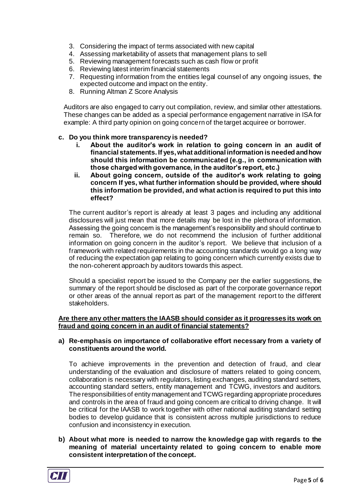- 3. Considering the impact of terms associated with new capital
- 4. Assessing marketability of assets that management plans to sell
- 5. Reviewing management forecasts such as cash flow or profit
- 6. Reviewing latest interim financial statements
- 7. Requesting information from the entities legal counsel of any ongoing issues, the expected outcome and impact on the entity.
- 8. Running Altman Z Score Analysis

Auditors are also engaged to carry out compilation, review, and similar other attestations. These changes can be added as a special performance engagement narrative in ISA for example: A third party opinion on going concern of the target acquiree or borrower.

# **c. Do you think more transparency is needed?**

- **i. About the auditor's work in relation to going concern in an audit of financial statements. If yes, what additional information is needed and how should this information be communicated (e.g., in communication with those charged with governance, in the auditor's report, etc.)**
- **ii. About going concern, outside of the auditor's work relating to going concern If yes, what further information should be provided, where should this information be provided, and what action is required to put this into effect?**

The current auditor's report is already at least 3 pages and including any additional disclosures will just mean that more details may be lost in the plethora of information. Assessing the going concern is the management's responsibility and should continue to remain so. Therefore, we do not recommend the inclusion of further additional information on going concern in the auditor's report. We believe that inclusion of a framework with related requirements in the accounting standards would go a long way of reducing the expectation gap relating to going concern which currently exists due to the non-coherent approach by auditors towards this aspect.

Should a specialist report be issued to the Company per the earlier suggestions, the summary of the report should be disclosed as part of the corporate governance report or other areas of the annual report as part of the management report to the different stakeholders.

### **Are there any other matters the IAASB should consider as it progresses its work on fraud and going concern in an audit of financial statements?**

### **a) Re-emphasis on importance of collaborative effort necessary from a variety of constituents around the world.**

To achieve improvements in the prevention and detection of fraud, and clear understanding of the evaluation and disclosure of matters related to going concern, collaboration is necessary with regulators, listing exchanges, auditing standard setters, accounting standard setters, entity management and TCWG, investors and auditors. The responsibilities of entity management and TCWG regarding appropriate procedures and controls in the area of fraud and going concern are critical to driving change. It will be critical for the IAASB to work together with other national auditing standard setting bodies to develop guidance that is consistent across multiple jurisdictions to reduce confusion and inconsistency in execution.

**b) About what more is needed to narrow the knowledge gap with regards to the meaning of material uncertainty related to going concern to enable more consistent interpretation of the concept.**